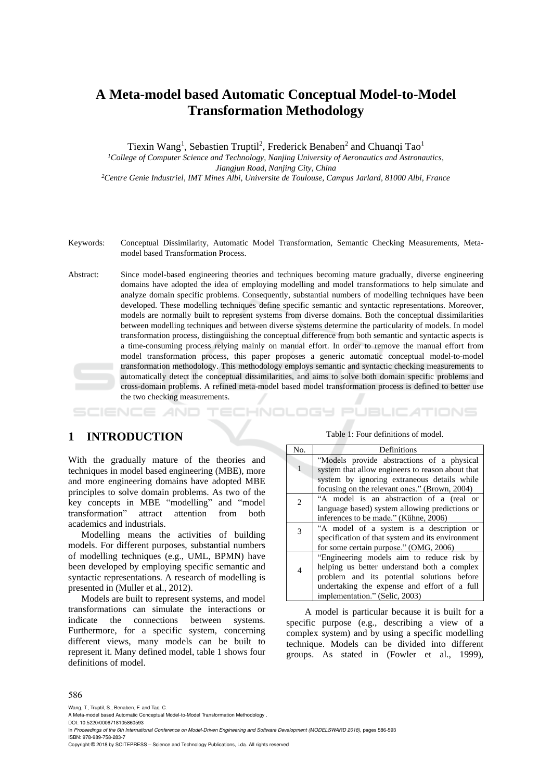# **A Meta-model based Automatic Conceptual Model-to-Model Transformation Methodology**

Tiexin Wang<sup>1</sup>, Sebastien Truptil<sup>2</sup>, Frederick Benaben<sup>2</sup> and Chuanqi Tao<sup>1</sup>

*<sup>1</sup>College of Computer Science and Technology, Nanjing University of Aeronautics and Astronautics,*

*Jiangjun Road, Nanjing City, China*

*<sup>2</sup>Centre Genie Industriel, IMT Mines Albi, Universite de Toulouse, Campus Jarlard, 81000 Albi, France*

- Keywords: Conceptual Dissimilarity, Automatic Model Transformation, Semantic Checking Measurements, Metamodel based Transformation Process.
- Abstract: Since model-based engineering theories and techniques becoming mature gradually, diverse engineering domains have adopted the idea of employing modelling and model transformations to help simulate and analyze domain specific problems. Consequently, substantial numbers of modelling techniques have been developed. These modelling techniques define specific semantic and syntactic representations. Moreover, models are normally built to represent systems from diverse domains. Both the conceptual dissimilarities between modelling techniques and between diverse systems determine the particularity of models. In model transformation process, distinguishing the conceptual difference from both semantic and syntactic aspects is a time-consuming process relying mainly on manual effort. In order to remove the manual effort from model transformation process, this paper proposes a generic automatic conceptual model-to-model transformation methodology. This methodology employs semantic and syntactic checking measurements to automatically detect the conceptual dissimilarities, and aims to solve both domain specific problems and cross-domain problems. A refined meta-model based model transformation process is defined to better use the two checking measurements.

# **1 INTRODUCTION**

With the gradually mature of the theories and techniques in model based engineering (MBE), more and more engineering domains have adopted MBE principles to solve domain problems. As two of the key concepts in MBE "modelling" and "model transformation" attract attention from both academics and industrials.

Modelling means the activities of building models. For different purposes, substantial numbers of modelling techniques (e.g., UML, BPMN) have been developed by employing specific semantic and syntactic representations. A research of modelling is presented in (Muller et al., 2012).

Models are built to represent systems, and model transformations can simulate the interactions or indicate the connections between systems. Furthermore, for a specific system, concerning different views, many models can be built to represent it. Many defined model, table 1 shows four definitions of model.

Table 1: Four definitions of model.

HNOLOGY PUBLICATIONS

| No.          | <b>Definitions</b>                               |
|--------------|--------------------------------------------------|
|              | "Models provide abstractions of a physical       |
| $\mathbf{1}$ | system that allow engineers to reason about that |
|              | system by ignoring extraneous details while      |
|              | focusing on the relevant ones." (Brown, 2004)    |
| 2            | "A model is an abstraction of a (real or         |
|              | language based) system allowing predictions or   |
|              | inferences to be made." (Kühne, 2006)            |
| 3            | "A model of a system is a description or         |
|              | specification of that system and its environment |
|              | for some certain purpose." (OMG, 2006)           |
|              | "Engineering models aim to reduce risk by        |
| 4            | helping us better understand both a complex      |
|              | problem and its potential solutions before       |
|              | undertaking the expense and effort of a full     |
|              | implementation." (Selic, 2003)                   |

A model is particular because it is built for a specific purpose (e.g., describing a view of a complex system) and by using a specific modelling technique. Models can be divided into different groups. As stated in (Fowler et al., 1999),

#### 586

Wang, T., Truptil, S., Benaben, F. and Tao, C.

A Meta-model based Automatic Conceptual Model-to-Model Transformation Methodology .

DOI: 10.5220/0006718105860593

In *Proceedings of the 6th International Conference on Model-Driven Engineering and Software Development (MODELSWARD 2018)*, pages 586-593 ISBN: 978-989-758-283-7

Copyright © 2018 by SCITEPRESS – Science and Technology Publications, Lda. All rights reserved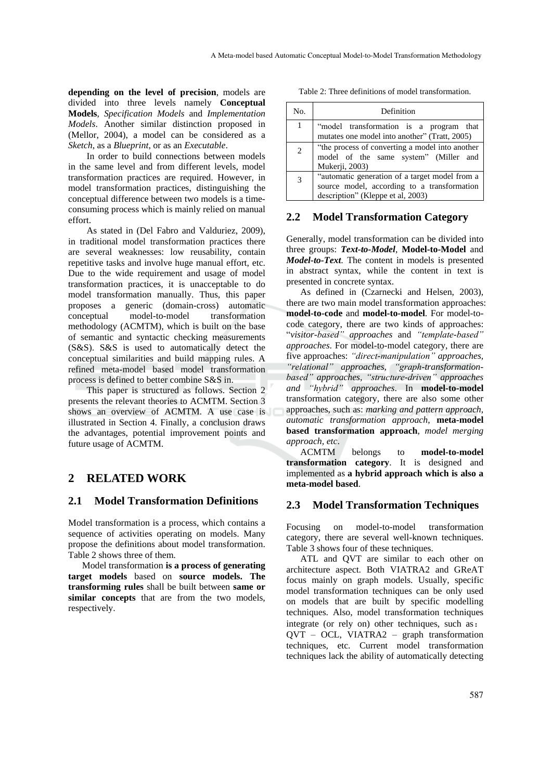**depending on the level of precision**, models are divided into three levels namely **Conceptual Models**, *Specification Models* and *Implementation Models*. Another similar distinction proposed in (Mellor, 2004), a model can be considered as a *Sketch*, as a *Blueprint*, or as an *Executable*.

In order to build connections between models in the same level and from different levels, model transformation practices are required. However, in model transformation practices, distinguishing the conceptual difference between two models is a timeconsuming process which is mainly relied on manual effort.

As stated in (Del Fabro and Valduriez, 2009), in traditional model transformation practices there are several weaknesses: low reusability, contain repetitive tasks and involve huge manual effort, etc. Due to the wide requirement and usage of model transformation practices, it is unacceptable to do model transformation manually. Thus, this paper proposes a generic (domain-cross) automatic conceptual model-to-model transformation methodology (ACMTM), which is built on the base of semantic and syntactic checking measurements (S&S). S&S is used to automatically detect the conceptual similarities and build mapping rules. A refined meta-model based model transformation process is defined to better combine S&S in.

This paper is structured as follows. Section 2 presents the relevant theories to ACMTM. Section 3 shows an overview of ACMTM. A use case is illustrated in Section 4. Finally, a conclusion draws the advantages, potential improvement points and future usage of ACMTM.

# **2 RELATED WORK**

# **2.1 Model Transformation Definitions**

Model transformation is a process, which contains a sequence of activities operating on models. Many propose the definitions about model transformation. Table 2 shows three of them.

Model transformation **is a process of generating target models** based on **source models. The transforming rules** shall be built between **same or similar concepts** that are from the two models, respectively.

Table 2: Three definitions of model transformation.

| No. | Definition                                                                                                                         |
|-----|------------------------------------------------------------------------------------------------------------------------------------|
| 1   | "model transformation is a program that<br>mutates one model into another" (Tratt, 2005)                                           |
| 2   | "the process of converting a model into another<br>model of the same system" (Miller and<br>Mukerji, 2003)                         |
|     | "automatic generation of a target model from a<br>source model, according to a transformation<br>description" (Kleppe et al, 2003) |

## **2.2 Model Transformation Category**

Generally, model transformation can be divided into three groups: *Text-to-Model*, **Model-to-Model** and *Model-to-Text*. The content in models is presented in abstract syntax, while the content in text is presented in concrete syntax.

As defined in (Czarnecki and Helsen, 2003), there are two main model transformation approaches: **model-to-code** and **model-to-model**. For model-tocode category, there are two kinds of approaches: "*visitor-based" approaches* and *"template-based" approaches*. For model-to-model category, there are five approaches: *"direct-manipulation" approaches, "relational" approaches, "graph-transformationbased" approaches, "structure-driven" approaches and "hybrid" approaches*. In **model-to-model** transformation category, there are also some other approaches, such as: *marking and pattern approach*, *automatic transformation approach*, **meta-model based transformation approach**, *model merging approach, etc*.

ACMTM belongs to **model-to-model transformation category**. It is designed and implemented as **a hybrid approach which is also a meta-model based**.

### **2.3 Model Transformation Techniques**

Focusing on model-to-model transformation category, there are several well-known techniques. Table 3 shows four of these techniques.

ATL and QVT are similar to each other on architecture aspect. Both VIATRA2 and GReAT focus mainly on graph models. Usually, specific model transformation techniques can be only used on models that are built by specific modelling techniques. Also, model transformation techniques integrate (or rely on) other techniques, such as: QVT – OCL, VIATRA2 – graph transformation techniques, etc. Current model transformation techniques lack the ability of automatically detecting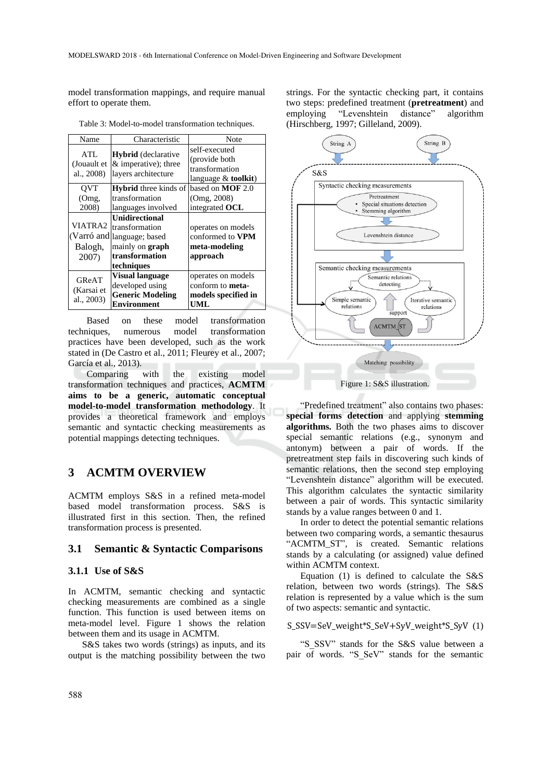model transformation mappings, and require manual effort to operate them.

| Name                                      | Characteristic                                                                                                       | Note                                                                        |  |
|-------------------------------------------|----------------------------------------------------------------------------------------------------------------------|-----------------------------------------------------------------------------|--|
| ATL<br>(Jouault et<br>al., 2008)          | <b>Hybrid</b> (declarative<br>& imperative); three<br>layers architecture                                            | self-executed<br>(provide both)<br>transformation<br>language $&$ toolkit)  |  |
| <b>OVT</b>                                | <b>Hybrid</b> three kinds of                                                                                         | based on $MOF$ 2.0                                                          |  |
| (Omg,                                     | transformation                                                                                                       | (Omg, 2008)                                                                 |  |
| 2008)                                     | languages involved                                                                                                   | integrated OCL                                                              |  |
| VIATRA2<br>(Varró and<br>Balogh,<br>2007) | <b>Unidirectional</b><br>transformation<br>language; based<br>mainly on <b>graph</b><br>transformation<br>techniques | operates on models<br>conformed to VPM<br>meta-modeling<br>approach         |  |
| GReAT<br>(Karsai et<br>al., 2003)         | <b>Visual language</b><br>developed using<br><b>Generic Modeling</b><br>Environment                                  | operates on models<br>conform to <b>meta-</b><br>models specified in<br>UML |  |

Table 3: Model-to-model transformation techniques.

Based on these model transformation techniques, numerous model transformation practices have been developed, such as the work stated in (De Castro et al., 2011; Fleurey et al., 2007; García et al., 2013).

Comparing with the existing model transformation techniques and practices, **ACMTM aims to be a generic, automatic conceptual model-to-model transformation methodology**. It provides a theoretical framework and employs semantic and syntactic checking measurements as potential mappings detecting techniques.

# **3 ACMTM OVERVIEW**

ACMTM employs S&S in a refined meta-model based model transformation process. S&S is illustrated first in this section. Then, the refined transformation process is presented.

### **3.1 Semantic & Syntactic Comparisons**

### **3.1.1 Use of S&S**

In ACMTM, semantic checking and syntactic checking measurements are combined as a single function. This function is used between items on meta-model level. Figure 1 shows the relation between them and its usage in ACMTM.

S&S takes two words (strings) as inputs, and its output is the matching possibility between the two

strings. For the syntactic checking part, it contains two steps: predefined treatment (**pretreatment**) and employing "Levenshtein distance" algorithm (Hirschberg, 1997; Gilleland, 2009).



"Predefined treatment" also contains two phases: **special forms detection** and applying **stemming algorithms.** Both the two phases aims to discover special semantic relations (e.g., synonym and antonym) between a pair of words. If the pretreatment step fails in discovering such kinds of semantic relations, then the second step employing "Levenshtein distance" algorithm will be executed. This algorithm calculates the syntactic similarity between a pair of words. This syntactic similarity stands by a value ranges between 0 and 1.

In order to detect the potential semantic relations between two comparing words, a semantic thesaurus "ACMTM\_ST", is created. Semantic relations stands by a calculating (or assigned) value defined within ACMTM context.

Equation (1) is defined to calculate the S&S relation, between two words (strings). The S&S relation is represented by a value which is the sum of two aspects: semantic and syntactic.

### S\_SSV=SeV\_weight\*S\_SeV+SyV\_weight\*S\_SyV (1)

"S\_SSV" stands for the S&S value between a pair of words. "S SeV" stands for the semantic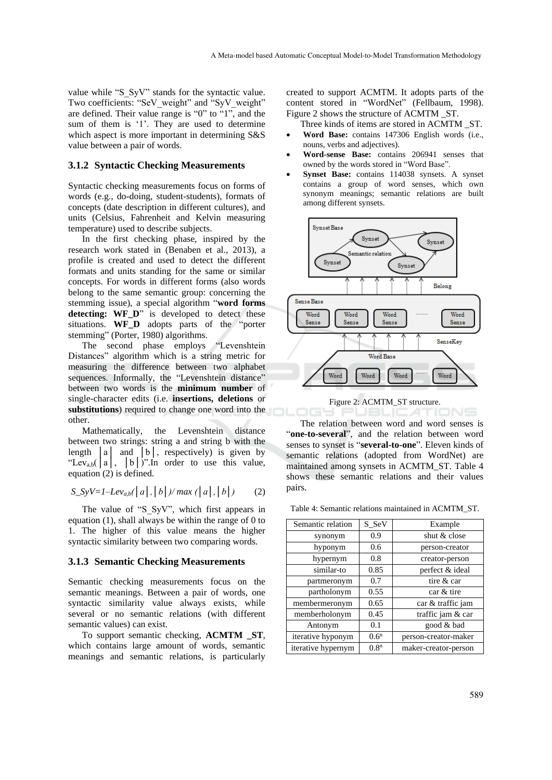value while "S\_SyV" stands for the syntactic value. Two coefficients: "SeV\_weight" and "SyV\_weight" are defined. Their value range is "0" to "1", and the sum of them is '1'. They are used to determine which aspect is more important in determining S&S value between a pair of words.

#### **3.1.2 Syntactic Checking Measurements**

Syntactic checking measurements focus on forms of words (e.g., do-doing, student-students), formats of concepts (date description in different cultures), and units (Celsius, Fahrenheit and Kelvin measuring temperature) used to describe subjects.

In the first checking phase, inspired by the research work stated in (Benaben et al., 2013), a profile is created and used to detect the different formats and units standing for the same or similar concepts. For words in different forms (also words belong to the same semantic group: concerning the stemming issue), a special algorithm "**word forms detecting: WF\_D**" is developed to detect these situations. **WF D** adopts parts of the "porter" stemming" (Porter, 1980) algorithms.

The second phase employs "Levenshtein Distances" algorithm which is a string metric for measuring the difference between two alphabet sequences. Informally, the "Levenshtein distance" between two words is the **minimum number** of single-character edits (i.e. **insertions, deletions** or **substitutions**) required to change one word into the other.

Mathematically, the Levenshtein distance between two strings: string a and string b with the length  $|a|$  and  $|b|$ , respectively) is given by "Lev<sub>a,b</sub>( $|a|$ ,  $|b|$ )".In order to use this value, equation (2) is defined.

$$
S_{\perp}SyV=1-Lev_{a,b}(\mid a \mid, \mid b \mid)/max(\mid a \mid, \mid b \mid)
$$
 (2)

The value of "S\_SyV", which first appears in equation (1), shall always be within the range of 0 to 1. The higher of this value means the higher syntactic similarity between two comparing words.

#### **3.1.3 Semantic Checking Measurements**

Semantic checking measurements focus on the semantic meanings. Between a pair of words, one syntactic similarity value always exists, while several or no semantic relations (with different semantic values) can exist.

To support semantic checking, **ACMTM \_ST**, which contains large amount of words, semantic meanings and semantic relations, is particularly created to support ACMTM. It adopts parts of the content stored in "WordNet" (Fellbaum, 1998). Figure 2 shows the structure of ACMTM \_ST.

Three kinds of items are stored in ACMTM \_ST.

- **Word Base:** contains 147306 English words (i.e., nouns, verbs and adjectives).
- **Word-sense Base:** contains 206941 senses that owned by the words stored in "Word Base".
- **Synset Base:** contains 114038 synsets. A synset contains a group of word senses, which own synonym meanings; semantic relations are built among different synsets.





The relation between word and word senses is "**one-to-several**", and the relation between word senses to synset is "**several-to-one**". Eleven kinds of semantic relations (adopted from WordNet) are maintained among synsets in ACMTM\_ST. Table 4 shows these semantic relations and their values pairs.

Table 4: Semantic relations maintained in ACMTM\_ST.

| Semantic relation         | S SeV            | Example              |
|---------------------------|------------------|----------------------|
| synonym                   | 0.9              | shut $\&$ close      |
| hyponym                   | 0.6              | person-creator       |
| hypernym                  | 0.8              | creator-person       |
| similar-to                | 0.85             | perfect & ideal      |
| partmeronym               | 0.7              | tire & car           |
| partholonym               | 0.55             | car & tire           |
| membermeronym             | 0.65             | car & traffic jam    |
| memberholonym             | 0.45             | traffic jam & car    |
| Antonym                   | 0.1              | good & bad           |
| iterative hyponym         | $0.6^n$          | person-creator-maker |
| <i>iterative</i> hypernym | 0.8 <sup>n</sup> | maker-creator-person |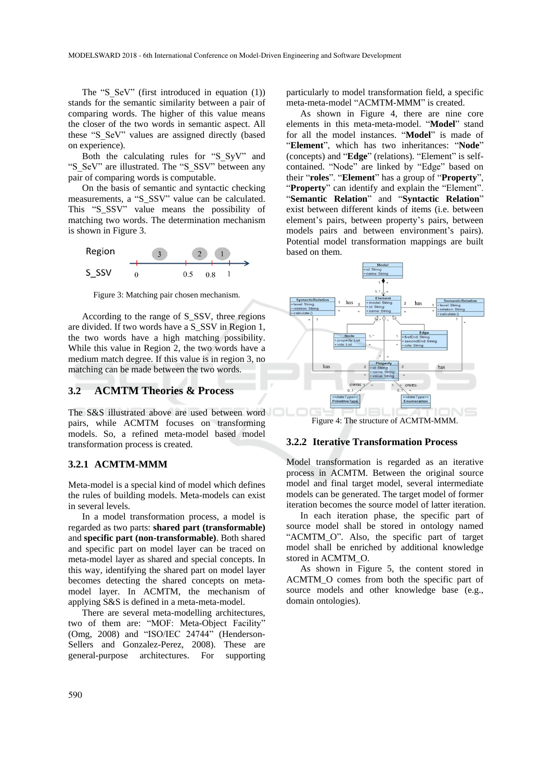The "S\_SeV" (first introduced in equation (1)) stands for the semantic similarity between a pair of comparing words. The higher of this value means the closer of the two words in semantic aspect. All these "S\_SeV" values are assigned directly (based on experience).

Both the calculating rules for "S\_SyV" and "S\_SeV" are illustrated. The "S\_SSV" between any pair of comparing words is computable.

On the basis of semantic and syntactic checking measurements, a "S\_SSV" value can be calculated. This "S\_SSV" value means the possibility of matching two words. The determination mechanism is shown in Figure 3.



Figure 3: Matching pair chosen mechanism.

According to the range of S\_SSV, three regions are divided. If two words have a S\_SSV in Region 1, the two words have a high matching possibility. While this value in Region 2, the two words have a medium match degree. If this value is in region 3, no matching can be made between the two words.

### **3.2 ACMTM Theories & Process**

The S&S illustrated above are used between word pairs, while ACMTM focuses on transforming models. So, a refined meta-model based model transformation process is created.

#### **3.2.1 ACMTM-MMM**

Meta-model is a special kind of model which defines the rules of building models. Meta-models can exist in several levels.

In a model transformation process, a model is regarded as two parts: **shared part (transformable)** and **specific part (non-transformable)**. Both shared and specific part on model layer can be traced on meta-model layer as shared and special concepts. In this way, identifying the shared part on model layer becomes detecting the shared concepts on metamodel layer. In ACMTM, the mechanism of applying S&S is defined in a meta-meta-model.

There are several meta-modelling architectures, two of them are: "MOF: Meta-Object Facility" (Omg, 2008) and "ISO/IEC 24744" (Henderson-Sellers and Gonzalez-Perez, 2008). These are general-purpose architectures. For supporting

particularly to model transformation field, a specific meta-meta-model "ACMTM-MMM" is created.

As shown in Figure 4, there are nine core elements in this meta-meta-model. "**Model**" stand for all the model instances. "**Model**" is made of "**Element**", which has two inheritances: "**Node**" (concepts) and "**Edge**" (relations). "Element" is selfcontained. "Node" are linked by "Edge" based on their "**roles**". "**Element**" has a group of "**Property**", "**Property**" can identify and explain the "Element". "**Semantic Relation**" and "**Syntactic Relation**" exist between different kinds of items (i.e. between element's pairs, between property's pairs, between models pairs and between environment's pairs). Potential model transformation mappings are built based on them.



Figure 4: The structure of ACMTM-MMM.

#### **3.2.2 Iterative Transformation Process**

Model transformation is regarded as an iterative process in ACMTM. Between the original source model and final target model, several intermediate models can be generated. The target model of former iteration becomes the source model of latter iteration.

In each iteration phase, the specific part of source model shall be stored in ontology named "ACMTM\_O". Also, the specific part of target model shall be enriched by additional knowledge stored in ACMTM\_O.

As shown in Figure 5, the content stored in ACMTM\_O comes from both the specific part of source models and other knowledge base (e.g., domain ontologies).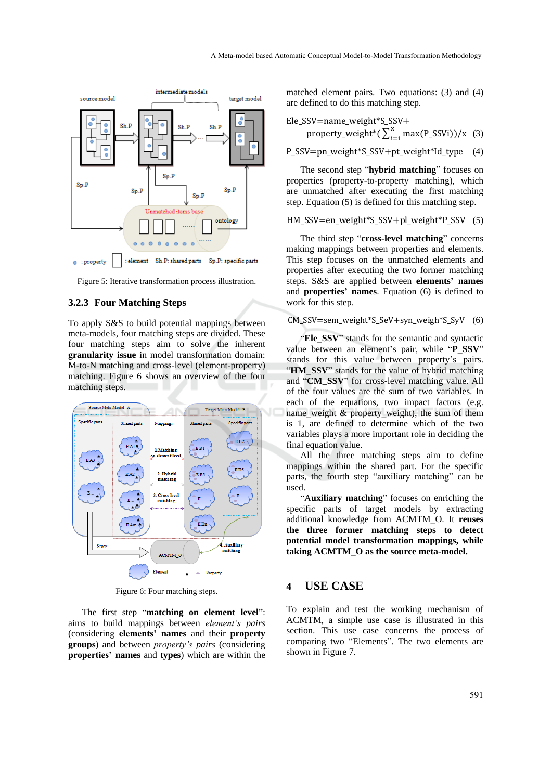

Figure 5: Iterative transformation process illustration.

## **3.2.3 Four Matching Steps**

To apply S&S to build potential mappings between meta-models, four matching steps are divided. These four matching steps aim to solve the inherent **granularity issue** in model transformation domain: M-to-N matching and cross-level (element-property) matching. Figure 6 shows an overview of the four matching steps.



Figure 6: Four matching steps.

The first step "**matching on element level**": aims to build mappings between *element's pairs* (considering **elements' names** and their **property groups**) and between *property's pairs* (considering **properties' names** and **types**) which are within the

matched element pairs. Two equations: (3) and (4) are defined to do this matching step.

Ele\_SSV=name\_weight\*S\_SSV+  
property\_weight\*(
$$
\sum_{i=1}^{x} max(P_SSVi)
$$
)/x (3)

P\_SSV=pn\_weight\*S\_SSV+pt\_weight\*Id\_type (4)

The second step "**hybrid matching**" focuses on properties (property-to-property matching), which are unmatched after executing the first matching step. Equation (5) is defined for this matching step.

HM\_SSV=en\_weight\*S\_SSV+pl\_weight\*P\_SSV (5)

The third step "**cross-level matching**" concerns making mappings between properties and elements. This step focuses on the unmatched elements and properties after executing the two former matching steps. S&S are applied between **elements' names** and **properties' names**. Equation (6) is defined to work for this step.

### CM\_SSV=sem\_weight\*S\_SeV+syn\_weigh\*S\_SyV (6)

"**Ele\_SSV**" stands for the semantic and syntactic value between an element's pair, while "**P\_SSV**" stands for this value between property's pairs. "**HM\_SSV**" stands for the value of hybrid matching and "**CM\_SSV**" for cross-level matching value. All of the four values are the sum of two variables. In each of the equations, two impact factors (e.g. name weight  $\&$  property weight), the sum of them is 1, are defined to determine which of the two variables plays a more important role in deciding the final equation value.

All the three matching steps aim to define mappings within the shared part. For the specific parts, the fourth step "auxiliary matching" can be used.

"A**uxiliary matching**" focuses on enriching the specific parts of target models by extracting additional knowledge from ACMTM\_O. It **reuses the three former matching steps to detect potential model transformation mappings, while taking ACMTM\_O as the source meta-model.**

# **4 USE CASE**

To explain and test the working mechanism of ACMTM, a simple use case is illustrated in this section. This use case concerns the process of comparing two "Elements". The two elements are shown in Figure 7.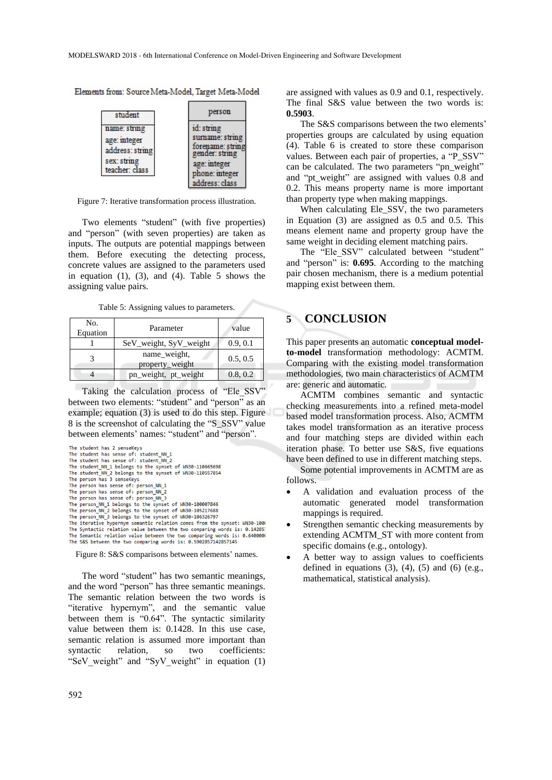Elements from: Source Meta-Model, Target Meta-Model



Figure 7: Iterative transformation process illustration.

Two elements "student" (with five properties) and "person" (with seven properties) are taken as inputs. The outputs are potential mappings between them. Before executing the detecting process, concrete values are assigned to the parameters used in equation  $(1)$ ,  $(3)$ , and  $(4)$ . Table 5 shows the assigning value pairs.

Table 5: Assigning values to parameters.

| No.<br>Equation | Parameter                       | value    |
|-----------------|---------------------------------|----------|
|                 | SeV_weight, SyV_weight          | 0.9, 0.1 |
|                 | name_weight,<br>property_weight | 0.5, 0.5 |
|                 | pn_weight, pt_weight            | 0.8, 0.2 |

Taking the calculation process of "Ele\_SSV" between two elements: "student" and "person" as an example; equation (3) is used to do this step. Figure 8 is the screenshot of calculating the "S\_SSV" value between elements' names: "student" and "person".

```
The student has 2 senseKeys
The student has sense of: student_NN_1<br>The student has sense of: student_NN_2
The student NN 1 belongs to the synset of WN30-110665698
The student_NN_2 belongs to the synset of WN30-110557854<br>The student_NN_2 belongs to the synset of WN30-110557854
The person has sense of: person_NN_1<br>The person has sense of: person_NN_2
The person has sense of: person_NN_3
Ine person MN_1 belongs to the synset of WN30-100007846<br>The person_NN_1 belongs to the synset of WN30-100007846<br>The person_NN_2 belongs to the synset of WN30-105217688<br>The person_NN_3 belongs to the synset of WN30-10632679
The Syntactic relation value between the two comparing words is: 0.14285<br>The Semantic relation value between the two comparing words is: 0.640000
            mantic relation value between the two comparing
```
Figure 8: S&S comparisons between elements' names.

The S&S between the two comparing words is: 0.5902857142857145

The word "student" has two semantic meanings, and the word "person" has three semantic meanings. The semantic relation between the two words is "iterative hypernym", and the semantic value between them is "0.64". The syntactic similarity value between them is: 0.1428. In this use case, semantic relation is assumed more important than syntactic relation, so two coefficients: "SeV\_weight" and "SyV\_weight" in equation (1)

are assigned with values as 0.9 and 0.1, respectively. The final S&S value between the two words is: **0.5903**.

The S&S comparisons between the two elements' properties groups are calculated by using equation (4). Table 6 is created to store these comparison values. Between each pair of properties, a "P\_SSV" can be calculated. The two parameters "pn\_weight" and "pt\_weight" are assigned with values 0.8 and 0.2. This means property name is more important than property type when making mappings.

When calculating Ele\_SSV, the two parameters in Equation (3) are assigned as 0.5 and 0.5. This means element name and property group have the same weight in deciding element matching pairs.

The "Ele SSV" calculated between "student" and "person" is: **0.695**. According to the matching pair chosen mechanism, there is a medium potential mapping exist between them.

## **5 CONCLUSION**

This paper presents an automatic **conceptual modelto-model** transformation methodology: ACMTM. Comparing with the existing model transformation methodologies, two main characteristics of ACMTM are: generic and automatic.

ACMTM combines semantic and syntactic checking measurements into a refined meta-model based model transformation process. Also, ACMTM takes model transformation as an iterative process and four matching steps are divided within each iteration phase. To better use S&S, five equations have been defined to use in different matching steps.

Some potential improvements in ACMTM are as follows.

- A validation and evaluation process of the automatic generated model transformation mappings is required.
- Strengthen semantic checking measurements by extending ACMTM\_ST with more content from specific domains (e.g., ontology).
- A better way to assign values to coefficients defined in equations  $(3)$ ,  $(4)$ ,  $(5)$  and  $(6)$  (e.g., mathematical, statistical analysis).